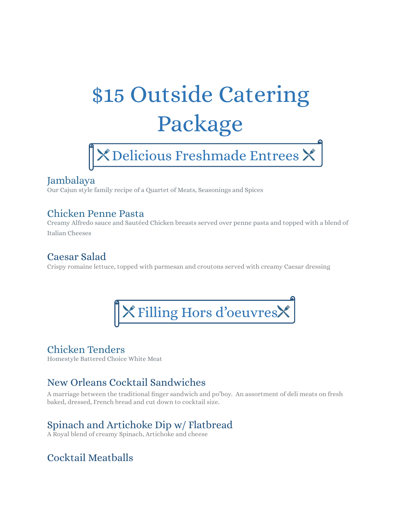# \$15 Outside Catering Package



### Jambalaya

Our Cajun style family recipe of a Quartet of Meats, Seasonings and Spices

#### Chicken Penne Pasta

Creamy Alfredo sauce and Sautéed Chicken breasts served over penne pasta and topped with a blend of Italian Cheeses

### Caesar Salad

Crispy romaine lettuce, topped with parmesan and croutons served with creamy Caesar dressing



## Chicken Tenders

Homestyle Battered Choice White Meat

# New Orleans Cocktail Sandwiches

A marriage between the traditional finger sandwich and po'boy. An assortment of deli meats on fresh baked, dressed, French bread and cut down to cocktail size.

# Spinach and Artichoke Dip w/ Flatbread

A Royal blend of creamy Spinach, Artichoke and cheese

# Cocktail Meatballs